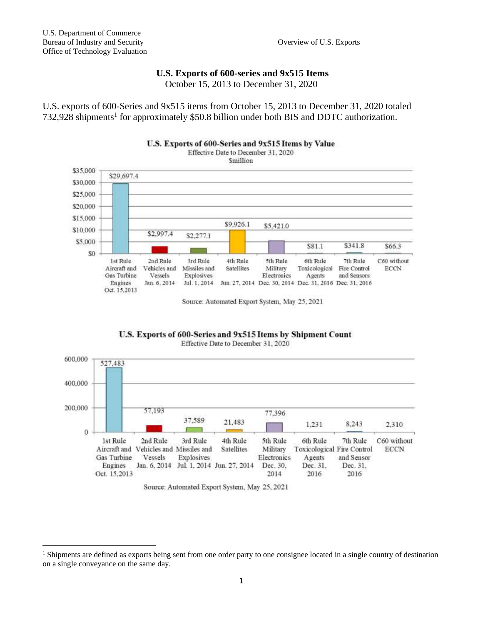## **U.S. Exports of 600-series and 9x515 Items**

October 15, 2013 to December 31, 2020

U.S. exports of 600-Series and 9x515 items from October 15, 2013 to December 31, 2020 totaled 732,928 shipments<sup>1</sup> for approximately \$50.8 billion under both BIS and DDTC authorization.



Source: Automated Export System, May 25, 2021

U.S. Exports of 600-Series and 9x515 Items by Shipment Count Effective Date to December 31, 2020



Source: Automated Export System, May 25, 2021

<sup>&</sup>lt;sup>1</sup> Shipments are defined as exports being sent from one order party to one consignee located in a single country of destination on a single conveyance on the same day.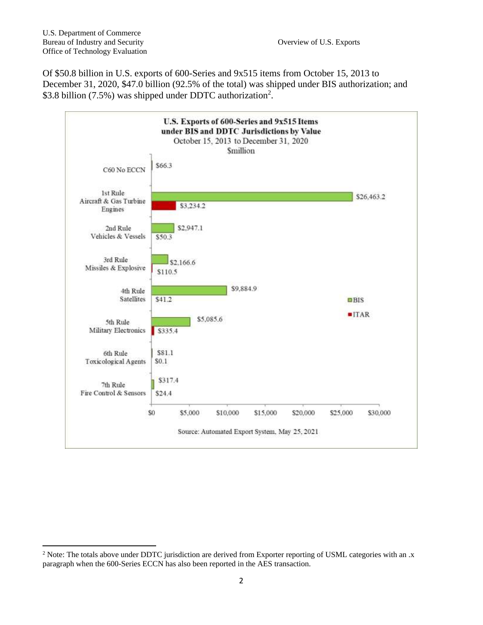Of \$50.8 billion in U.S. exports of 600-Series and 9x515 items from October 15, 2013 to December 31, 2020, \$47.0 billion (92.5% of the total) was shipped under BIS authorization; and \$3.8 billion (7.5%) was shipped under DDTC authorization<sup>2</sup>.



<sup>&</sup>lt;sup>2</sup> Note: The totals above under DDTC jurisdiction are derived from Exporter reporting of USML categories with an .x paragraph when the 600-Series ECCN has also been reported in the AES transaction.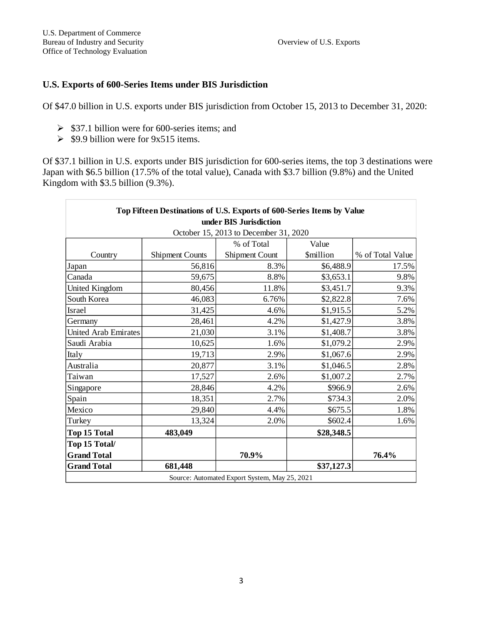## **U.S. Exports of 600-Series Items under BIS Jurisdiction**

Of \$47.0 billion in U.S. exports under BIS jurisdiction from October 15, 2013 to December 31, 2020:

- $\triangleright$  \$37.1 billion were for 600-series items; and
- $\geq$  \$9.9 billion were for 9x515 items.

Of \$37.1 billion in U.S. exports under BIS jurisdiction for 600-series items, the top 3 destinations were Japan with \$6.5 billion (17.5% of the total value), Canada with \$3.7 billion (9.8%) and the United Kingdom with \$3.5 billion (9.3%).

| Top Fifteen Destinations of U.S. Exports of 600-Series Items by Value |                        |                |            |                  |  |
|-----------------------------------------------------------------------|------------------------|----------------|------------|------------------|--|
| under BIS Jurisdiction                                                |                        |                |            |                  |  |
| October 15, 2013 to December 31, 2020                                 |                        |                |            |                  |  |
|                                                                       |                        | % of Total     | Value      |                  |  |
| Country                                                               | <b>Shipment Counts</b> | Shipment Count | \$million  | % of Total Value |  |
| Japan                                                                 | 56,816                 | 8.3%           | \$6,488.9  | 17.5%            |  |
| Canada                                                                | 59,675                 | 8.8%           | \$3,653.1  | 9.8%             |  |
| United Kingdom                                                        | 80,456                 | 11.8%          | \$3,451.7  | 9.3%             |  |
| South Korea                                                           | 46,083                 | 6.76%          | \$2,822.8  | 7.6%             |  |
| Israel                                                                | 31,425                 | 4.6%           | \$1,915.5  | 5.2%             |  |
| Germany                                                               | 28,461                 | 4.2%           | \$1,427.9  | 3.8%             |  |
| United Arab Emirates                                                  | 21,030                 | 3.1%           | \$1,408.7  | 3.8%             |  |
| Saudi Arabia                                                          | 10,625                 | 1.6%           | \$1,079.2  | 2.9%             |  |
| Italy                                                                 | 19,713                 | 2.9%           | \$1,067.6  | 2.9%             |  |
| Australia                                                             | 20,877                 | 3.1%           | \$1,046.5  | 2.8%             |  |
| Taiwan                                                                | 17,527                 | 2.6%           | \$1,007.2  | 2.7%             |  |
| Singapore                                                             | 28,846                 | 4.2%           | \$966.9    | 2.6%             |  |
| Spain                                                                 | 18,351                 | 2.7%           | \$734.3    | 2.0%             |  |
| Mexico                                                                | 29,840                 | 4.4%           | \$675.5    | 1.8%             |  |
| Turkey                                                                | 13,324                 | 2.0%           | \$602.4    | 1.6%             |  |
| <b>Top 15 Total</b>                                                   | 483,049                |                | \$28,348.5 |                  |  |
| Top 15 Total/                                                         |                        |                |            |                  |  |
| <b>Grand Total</b>                                                    |                        | 70.9%          |            | 76.4%            |  |
| <b>Grand Total</b>                                                    | 681,448                |                | \$37,127.3 |                  |  |
| Source: Automated Export System, May 25, 2021                         |                        |                |            |                  |  |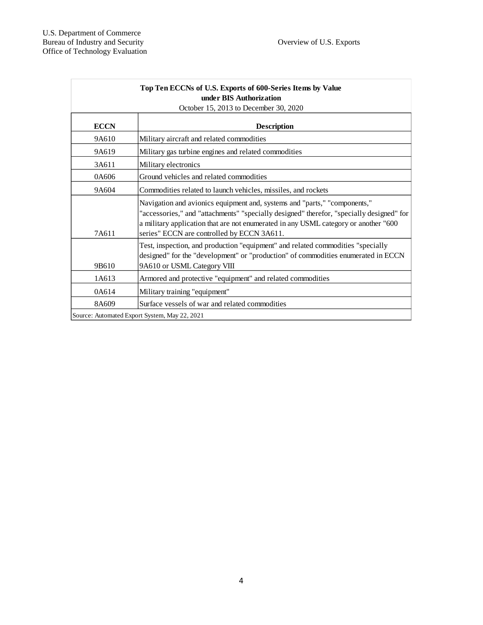| Top Ten ECCNs of U.S. Exports of 600-Series Items by Value<br>under BIS Authorization<br>October 15, 2013 to December 30, 2020 |                                                                                                                                                                                                                                                                                                            |  |  |
|--------------------------------------------------------------------------------------------------------------------------------|------------------------------------------------------------------------------------------------------------------------------------------------------------------------------------------------------------------------------------------------------------------------------------------------------------|--|--|
| <b>ECCN</b>                                                                                                                    | <b>Description</b>                                                                                                                                                                                                                                                                                         |  |  |
| 9A610                                                                                                                          | Military aircraft and related commodities                                                                                                                                                                                                                                                                  |  |  |
| 9A619                                                                                                                          | Military gas turbine engines and related commodities                                                                                                                                                                                                                                                       |  |  |
| 3A611                                                                                                                          | Military electronics                                                                                                                                                                                                                                                                                       |  |  |
| 0A606                                                                                                                          | Ground vehicles and related commodities                                                                                                                                                                                                                                                                    |  |  |
| 9A604                                                                                                                          | Commodities related to launch vehicles, missiles, and rockets                                                                                                                                                                                                                                              |  |  |
| 7A611                                                                                                                          | Navigation and avionics equipment and, systems and "parts," "components,"<br>"accessories," and "attachments" "specially designed" therefor, "specially designed" for<br>a military application that are not enumerated in any USML category or another "600<br>series" ECCN are controlled by ECCN 3A611. |  |  |
| 9B610                                                                                                                          | Test, inspection, and production "equipment" and related commodities "specially<br>designed" for the "development" or "production" of commodities enumerated in ECCN<br>9A610 or USML Category VIII                                                                                                        |  |  |
| 1A613                                                                                                                          | Armored and protective "equipment" and related commodities                                                                                                                                                                                                                                                 |  |  |
| 0A614                                                                                                                          | Military training "equipment"                                                                                                                                                                                                                                                                              |  |  |
| 8A609                                                                                                                          | Surface vessels of war and related commodities                                                                                                                                                                                                                                                             |  |  |
|                                                                                                                                | Source: Automated Export System, May 22, 2021                                                                                                                                                                                                                                                              |  |  |